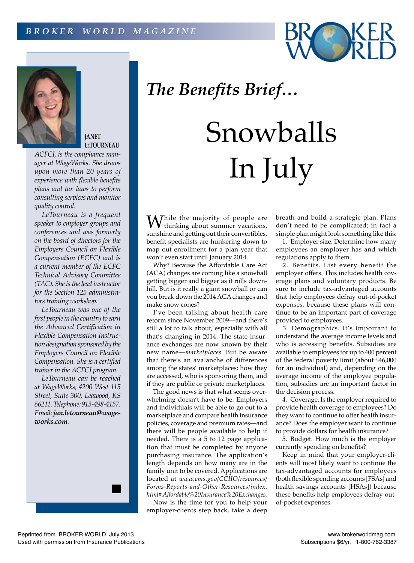



**JANET LeTOURNEAU**

*ager at WageWorks. She draws upon more than 20 years of experience with flexible benefits plans and tax laws to perform consulting services and monitor quality control.*

*LeTourneau is a frequent speaker to employer groups and conferences and was formerly on the board of directors for the Employers Council on Flexible Compensation (ECFC) and is a current member of the ECFC Technical Advisory Committee (TAC). She is the lead instructor for the Section 125 administrators training workshop.*

*LeTourneau was one of the first people in the country to earn the Advanced Certification in Flexible Compensation Instruction designation sponsored by the Employers Council on Flexible Compensation. She is a certified trainer in the ACFCI program.*

*LeTourneau can be reached at WageWorks, 4200 West 115 Street, Suite 300, Leawood, KS 66211. Telephone: 913-498-4157. Email: jan.letourneau@wageworks.com.*

## *The Benefits Brief…*

## Snowballs ACFCI, is the compliance man-<br>ager at WageWorks. She draws<br>upon more than 20 years of<br>experience with flexible benefits

 $W_{\text{thinking about summer vacations,}}$ sunshine and getting out their convertibles, benefit specialists are hunkering down to map out enrollment for a plan year that won't even start until January 2014.

Why? Because the Affordable Care Act (ACA) changes are coming like a snowball getting bigger and bigger as it rolls downhill. But is it really a giant snowball or can you break down the 2014 ACA changes and make snow cones?

I've been talking about health care reform since November 2009—and there's still a lot to talk about, especially with all that's changing in 2014. The state insurance exchanges are now known by their new name—*marketplaces.* But be aware that there's an avalanche of differences among the states' marketplaces: how they are accessed, who is sponsoring them, and if they are public or private marketplaces.

The good news is that what seems overwhelming doesn't have to be. Employers and individuals will be able to go out to a marketplace and compare health insurance policies, coverage and premium rates—and there will be people available to help if needed. There is a 5 to 12 page application that must be completed by anyone purchasing insurance. The application's length depends on how many are in the family unit to be covered. Applications are located at *www.cms.gov/CCIIO/resources/ Forms-Reports-and-Other-Resources/index. html#Affordable%20Insurance%20Exchanges.*

Now is the time for you to help your employer-clients step back, take a deep breath and build a strategic plan. Plans don't need to be complicated; in fact a simple plan might look something like this:

1. Employer size. Determine how many employees an employer has and which regulations apply to them.

2. Benefits. List every benefit the employer offers. This includes health coverage plans and voluntary products. Be sure to include tax-advantaged accounts that help employees defray out-of-pocket expenses, because these plans will continue to be an important part of coverage provided to employees.

3. Demographics. It's important to understand the average income levels and who is accessing benefits. Subsidies are available to employees for up to 400 percent of the federal poverty limit (about \$46,000 for an individual) and, depending on the average income of the employee population, subsidies are an important factor in the decision process.

4. Coverage. Is the employer required to provide health coverage to employees? Do they want to continue to offer health insurance? Does the employer want to continue to provide dollars for health insurance?

5. Budget. How much is the employer currently spending on benefits?

Keep in mind that your employer-clients will most likely want to continue the tax-advantaged accounts for employees (both flexible spending accounts [FSAs] and health savings accounts [HSAs]) because these benefits help employees defray outof-pocket expenses.